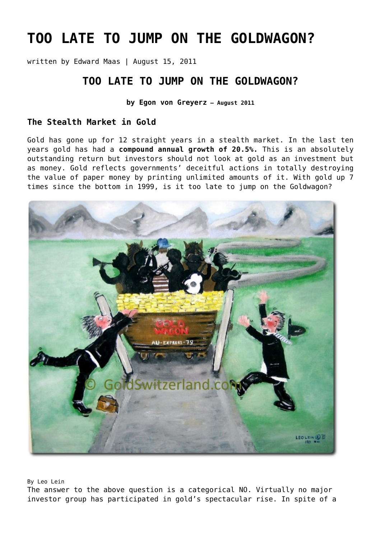# **[TOO LATE TO JUMP ON THE GOLDWAGON?](https://goldswitzerland.com/too-late-to-jump-on-the-goldwagon/)**

written by Edward Maas | August 15, 2011

## **TOO LATE TO JUMP ON THE GOLDWAGON?**

**by Egon von Greyerz – August 2011**

### **The Stealth Market in Gold**

Gold has gone up for 12 straight years in a stealth market. In the last ten years gold has had a **compound annual growth of 20.5%.** This is an absolutely outstanding return but investors should not look at gold as an investment but as money. Gold reflects governments' deceitful actions in totally destroying the value of paper money by printing unlimited amounts of it. With gold up 7 times since the bottom in 1999, is it too late to jump on the Goldwagon?



By Leo Lein

The answer to the above question is a categorical NO. Virtually no major investor group has participated in gold's spectacular rise. In spite of a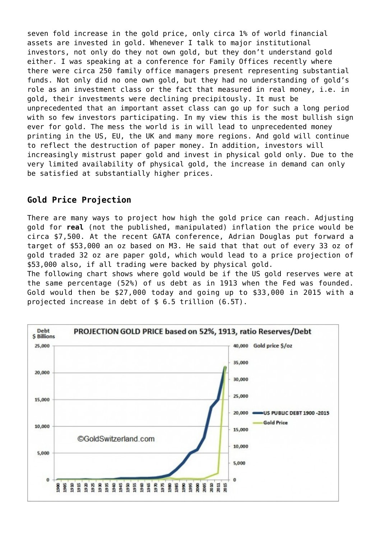seven fold increase in the gold price, only circa 1% of world financial assets are invested in gold. Whenever I talk to major institutional investors, not only do they not own gold, but they don't understand gold either. I was speaking at a conference for Family Offices recently where there were circa 250 family office managers present representing substantial funds. Not only did no one own gold, but they had no understanding of gold's role as an investment class or the fact that measured in real money, i.e. in gold, their investments were declining precipitously. It must be unprecedented that an important asset class can go up for such a long period with so few investors participating. In my view this is the most bullish sign ever for gold. The mess the world is in will lead to unprecedented money printing in the US, EU, the UK and many more regions. And gold will continue to reflect the destruction of paper money. In addition, investors will increasingly mistrust paper gold and invest in physical gold only. Due to the very limited availability of physical gold, the increase in demand can only be satisfied at substantially higher prices.

## **Gold Price Projection**

There are many ways to project how high the gold price can reach. Adjusting gold for **real** (not the published, manipulated) inflation the price would be circa \$7,500. At the recent GATA conference, Adrian Douglas put forward a target of \$53,000 an oz based on M3. He said that that out of every 33 oz of gold traded 32 oz are paper gold, which would lead to a price projection of \$53,000 also, if all trading were backed by physical gold.

The following chart shows where gold would be if the US gold reserves were at the same percentage (52%) of us debt as in 1913 when the Fed was founded. Gold would then be \$27,000 today and going up to \$33,000 in 2015 with a projected increase in debt of \$ 6.5 trillion (6.5T).

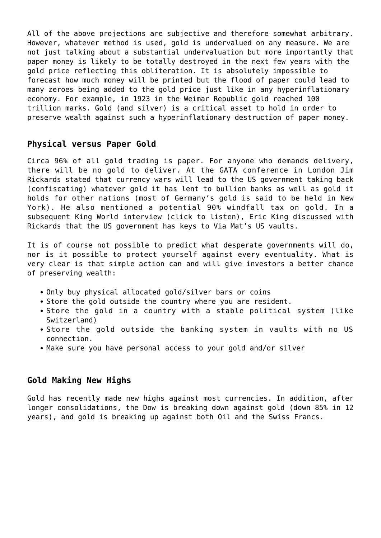All of the above projections are subjective and therefore somewhat arbitrary. However, whatever method is used, gold is undervalued on any measure. We are not just talking about a substantial undervaluation but more importantly that paper money is likely to be totally destroyed in the next few years with the gold price reflecting this obliteration. It is absolutely impossible to forecast how much money will be printed but the flood of paper could lead to many zeroes being added to the gold price just like in any hyperinflationary economy. For example, in 1923 in the Weimar Republic gold reached 100 trillion marks. Gold (and silver) is a critical asset to hold in order to preserve wealth against such a hyperinflationary destruction of paper money.

#### **Physical versus Paper Gold**

Circa 96% of all gold trading is paper. For anyone who demands delivery, there will be no gold to deliver. At the GATA conference in London Jim Rickards stated that currency wars will lead to the US government taking back (confiscating) whatever gold it has lent to bullion banks as well as gold it holds for other nations (most of Germany's gold is said to be held in New York). He also mentioned a potential 90% windfall tax on gold. In a subsequent [King World interview \(click to listen\),](http://www.archive.kingworldnews.com/kingworldnews/Broadcast/Entries/2011/8/6_Jim_Rickards_files/Jim%20Rickards%208%3A6%3A2011.mp3) Eric King discussed with Rickards that the US government has keys to Via Mat's US vaults.

It is of course not possible to predict what desperate governments will do, nor is it possible to protect yourself against every eventuality. What is very clear is that simple action can and will give investors a better chance of preserving wealth:

- Only buy physical allocated gold/silver bars or coins
- Store the gold outside the country where you are resident.
- Store the gold in a country with a stable political system (like Switzerland)
- Store the gold outside the banking system in vaults with no US connection.
- Make sure you have personal access to your gold and/or silver

#### **Gold Making New Highs**

Gold has recently made new highs against most currencies. In addition, after longer consolidations, the Dow is breaking down against gold (down 85% in 12 years), and gold is breaking up against both Oil and the Swiss Francs.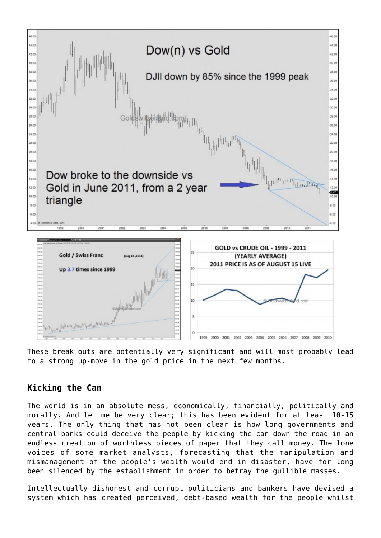

These break outs are potentially very significant and will most probably lead to a strong up-move in the gold price in the next few months.

## **Kicking the Can**

The world is in an absolute mess, economically, financially, politically and morally. And let me be very clear; this has been evident for at least 10-15 years. The only thing that has not been clear is how long governments and central banks could deceive the people by kicking the can down the road in an endless creation of worthless pieces of paper that they call money. The lone voices of some market analysts, forecasting that the manipulation and mismanagement of the people's wealth would end in disaster, have for long been silenced by the establishment in order to betray the gullible masses.

Intellectually dishonest and corrupt politicians and bankers have devised a system which has created perceived, debt-based wealth for the people whilst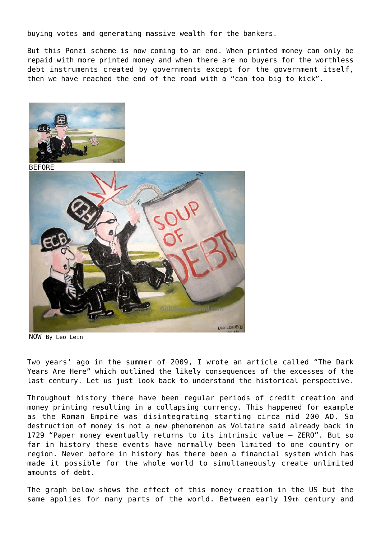buying votes and generating massive wealth for the bankers.

But this Ponzi scheme is now coming to an end. When printed money can only be repaid with more printed money and when there are no buyers for the worthless debt instruments created by governments except for the government itself, then we have reached the end of the road with a "can too big to kick".



**BEFORE** 



NOW By Leo Lein

Two years' ago in the summer of 2009, I wrote an article called "The Dark Years Are Here" which outlined the likely consequences of the excesses of the last century. Let us just look back to understand the historical perspective.

Throughout history there have been regular periods of credit creation and money printing resulting in a collapsing currency. This happened for example as the Roman Empire was disintegrating starting circa mid 200 AD. So destruction of money is not a new phenomenon as Voltaire said already back in 1729 "Paper money eventually returns to its intrinsic value – ZERO". But so far in history these events have normally been limited to one country or region. Never before in history has there been a financial system which has made it possible for the whole world to simultaneously create unlimited amounts of debt.

The graph below shows the effect of this money creation in the US but the same applies for many parts of the world. Between early 19th century and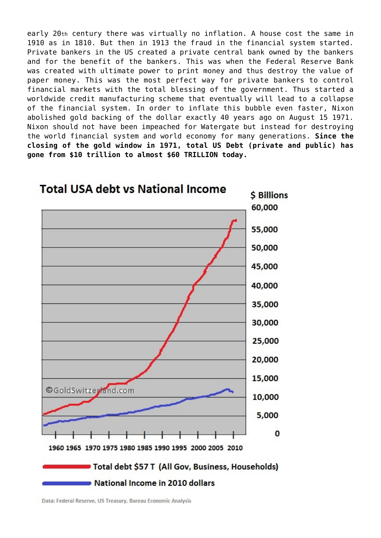early 20th century there was virtually no inflation. A house cost the same in 1910 as in 1810. But then in 1913 the fraud in the financial system started. Private bankers in the US created a private central bank owned by the bankers and for the benefit of the bankers. This was when the Federal Reserve Bank was created with ultimate power to print money and thus destroy the value of paper money. This was the most perfect way for private bankers to control financial markets with the total blessing of the government. Thus started a worldwide credit manufacturing scheme that eventually will lead to a collapse of the financial system. In order to inflate this bubble even faster, Nixon abolished gold backing of the dollar exactly 40 years ago on August 15 1971. Nixon should not have been impeached for Watergate but instead for destroying the world financial system and world economy for many generations. **Since the closing of the gold window in 1971, total US Debt (private and public) has gone from \$10 trillion to almost \$60 TRILLION today.**



Data: Federal Reserve, US Treasury, Bureau Economic Analysis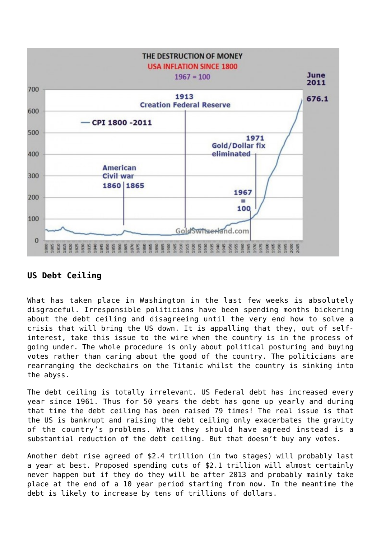

## **US Debt Ceiling**

What has taken place in Washington in the last few weeks is absolutely disgraceful. Irresponsible politicians have been spending months bickering about the debt ceiling and disagreeing until the very end how to solve a crisis that will bring the US down. It is appalling that they, out of selfinterest, take this issue to the wire when the country is in the process of going under. The whole procedure is only about political posturing and buying votes rather than caring about the good of the country. The politicians are rearranging the deckchairs on the Titanic whilst the country is sinking into the abyss.

The debt ceiling is totally irrelevant. US Federal debt has increased every year since 1961. Thus for 50 years the debt has gone up yearly and during that time the debt ceiling has been raised 79 times! The real issue is that the US is bankrupt and raising the debt ceiling only exacerbates the gravity of the country's problems. What they should have agreed instead is a substantial reduction of the debt ceiling. But that doesn't buy any votes.

Another debt rise agreed of \$2.4 trillion (in two stages) will probably last a year at best. Proposed spending cuts of \$2.1 trillion will almost certainly never happen but if they do they will be after 2013 and probably mainly take place at the end of a 10 year period starting from now. In the meantime the debt is likely to increase by tens of trillions of dollars.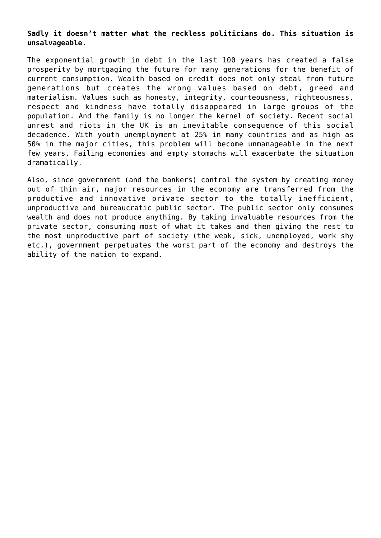#### **Sadly it doesn't matter what the reckless politicians do. This situation is unsalvageable.**

The exponential growth in debt in the last 100 years has created a false prosperity by mortgaging the future for many generations for the benefit of current consumption. Wealth based on credit does not only steal from future generations but creates the wrong values based on debt, greed and materialism. Values such as honesty, integrity, courteousness, righteousness, respect and kindness have totally disappeared in large groups of the population. And the family is no longer the kernel of society. Recent social unrest and riots in the UK is an inevitable consequence of this social decadence. With youth unemployment at 25% in many countries and as high as 50% in the major cities, this problem will become unmanageable in the next few years. Failing economies and empty stomachs will exacerbate the situation dramatically.

Also, since government (and the bankers) control the system by creating money out of thin air, major resources in the economy are transferred from the productive and innovative private sector to the totally inefficient, unproductive and bureaucratic public sector. The public sector only consumes wealth and does not produce anything. By taking invaluable resources from the private sector, consuming most of what it takes and then giving the rest to the most unproductive part of society (the weak, sick, unemployed, work shy etc.), government perpetuates the worst part of the economy and destroys the ability of the nation to expand.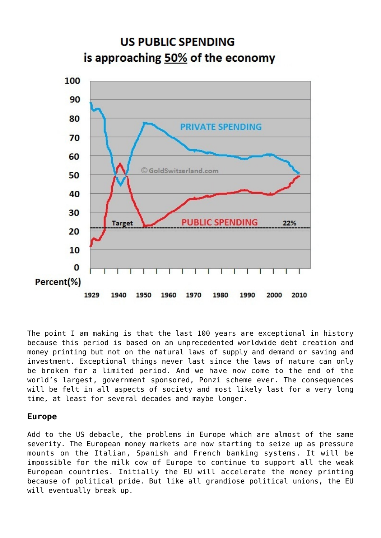

The point I am making is that the last 100 years are exceptional in history because this period is based on an unprecedented worldwide debt creation and money printing but not on the natural laws of supply and demand or saving and investment. Exceptional things never last since the laws of nature can only be broken for a limited period. And we have now come to the end of the world's largest, government sponsored, Ponzi scheme ever. The consequences will be felt in all aspects of society and most likely last for a very long time, at least for several decades and maybe longer.

#### **Europe**

Add to the US debacle, the problems in Europe which are almost of the same severity. The European money markets are now starting to seize up as pressure mounts on the Italian, Spanish and French banking systems. It will be impossible for the milk cow of Europe to continue to support all the weak European countries. Initially the EU will accelerate the money printing because of political pride. But like all grandiose political unions, the EU will eventually break up.